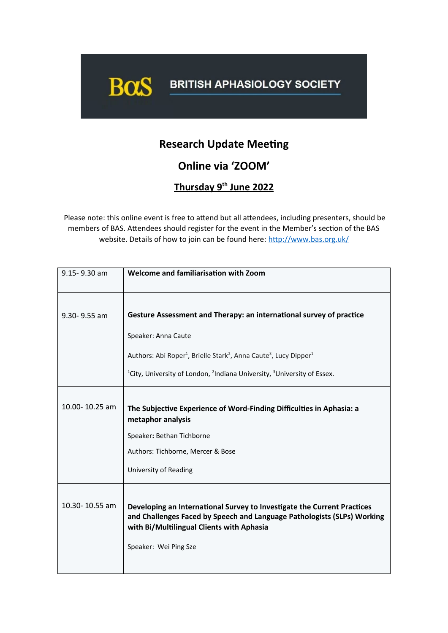

## **Research Update Meeting**

**Online via 'ZOOM'**

 **Thursday 9th June 2022**

Please note: this online event is free to attend but all attendees, including presenters, should be members of BAS. Attendees should register for the event in the Member's section of the BAS website. Details of how to join can be found here: <http://www.bas.org.uk/>

| 9.15-9.30 am   | Welcome and familiarisation with Zoom                                                                                                                                                                                    |
|----------------|--------------------------------------------------------------------------------------------------------------------------------------------------------------------------------------------------------------------------|
|                |                                                                                                                                                                                                                          |
| 9.30-9.55 am   | Gesture Assessment and Therapy: an international survey of practice                                                                                                                                                      |
|                | Speaker: Anna Caute                                                                                                                                                                                                      |
|                | Authors: Abi Roper <sup>1</sup> , Brielle Stark <sup>2</sup> , Anna Caute <sup>3</sup> , Lucy Dipper <sup>1</sup>                                                                                                        |
|                | <sup>1</sup> City, University of London, <sup>2</sup> Indiana University, <sup>3</sup> University of Essex.                                                                                                              |
| 10.00-10.25 am | The Subjective Experience of Word-Finding Difficulties in Aphasia: a<br>metaphor analysis<br>Speaker: Bethan Tichborne<br>Authors: Tichborne, Mercer & Bose<br>University of Reading                                     |
| 10.30-10.55 am | Developing an International Survey to Investigate the Current Practices<br>and Challenges Faced by Speech and Language Pathologists (SLPs) Working<br>with Bi/Multilingual Clients with Aphasia<br>Speaker: Wei Ping Sze |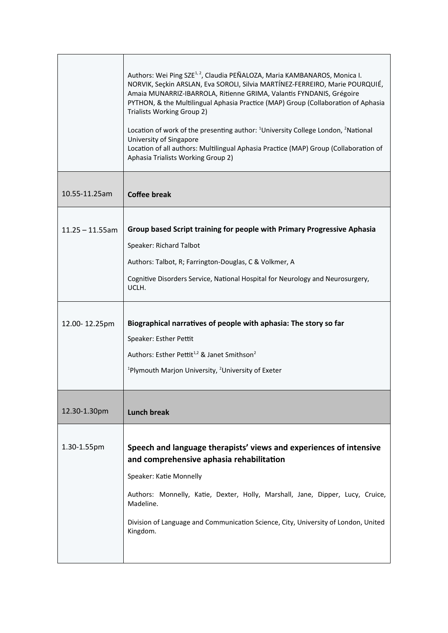|                    | Authors: Wei Ping SZE <sup>1, 2</sup> , Claudia PEÑALOZA, Maria KAMBANAROS, Monica I.<br>NORVIK, Seçkin ARSLAN, Eva SOROLI, Silvia MARTÍNEZ-FERREIRO, Marie POURQUIÉ,<br>Amaia MUNARRIZ-IBARROLA, Ritienne GRIMA, Valantis FYNDANIS, Grégoire<br>PYTHON, & the Multilingual Aphasia Practice (MAP) Group (Collaboration of Aphasia<br>Trialists Working Group 2)<br>Location of work of the presenting author: <sup>1</sup> University College London, <sup>2</sup> National<br>University of Singapore<br>Location of all authors: Multilingual Aphasia Practice (MAP) Group (Collaboration of<br>Aphasia Trialists Working Group 2) |
|--------------------|---------------------------------------------------------------------------------------------------------------------------------------------------------------------------------------------------------------------------------------------------------------------------------------------------------------------------------------------------------------------------------------------------------------------------------------------------------------------------------------------------------------------------------------------------------------------------------------------------------------------------------------|
| 10.55-11.25am      | <b>Coffee break</b>                                                                                                                                                                                                                                                                                                                                                                                                                                                                                                                                                                                                                   |
| $11.25 - 11.55$ am | Group based Script training for people with Primary Progressive Aphasia<br>Speaker: Richard Talbot<br>Authors: Talbot, R; Farrington-Douglas, C & Volkmer, A<br>Cognitive Disorders Service, National Hospital for Neurology and Neurosurgery,<br>UCLH.                                                                                                                                                                                                                                                                                                                                                                               |
| 12.00-12.25pm      | Biographical narratives of people with aphasia: The story so far<br>Speaker: Esther Pettit<br>Authors: Esther Pettit <sup>1,2</sup> & Janet Smithson <sup>2</sup><br><sup>1</sup> Plymouth Marjon University, <sup>2</sup> University of Exeter                                                                                                                                                                                                                                                                                                                                                                                       |
| 12.30-1.30pm       | <b>Lunch break</b>                                                                                                                                                                                                                                                                                                                                                                                                                                                                                                                                                                                                                    |
| 1.30-1.55pm        | Speech and language therapists' views and experiences of intensive<br>and comprehensive aphasia rehabilitation<br>Speaker: Katie Monnelly<br>Authors: Monnelly, Katie, Dexter, Holly, Marshall, Jane, Dipper, Lucy, Cruice,<br>Madeline.<br>Division of Language and Communication Science, City, University of London, United<br>Kingdom.                                                                                                                                                                                                                                                                                            |